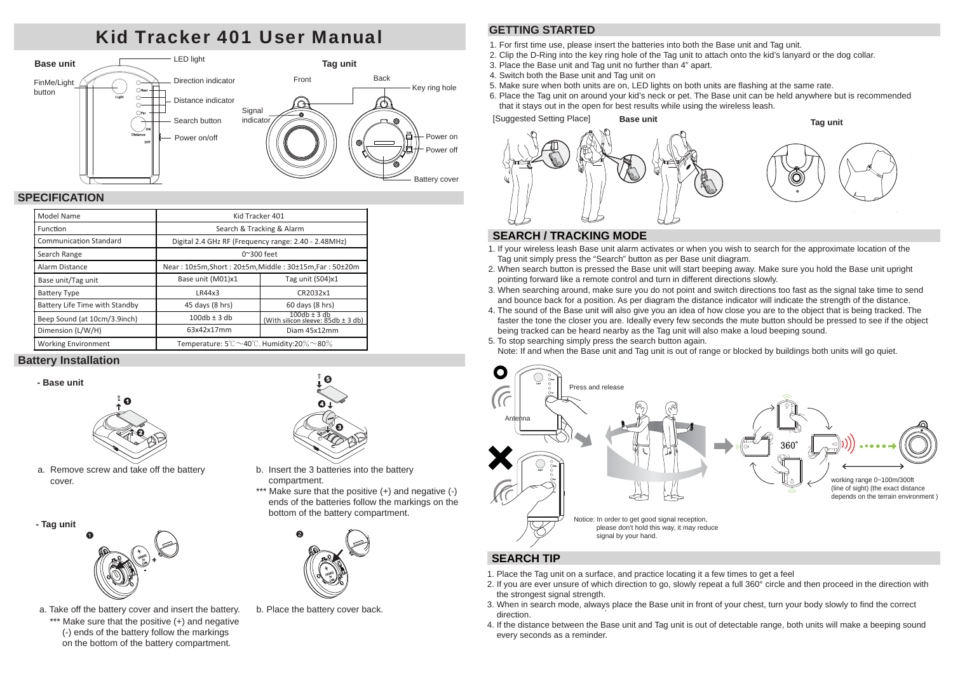# Kid Tracker 401 User Manual



## **SPECIFICATION**

| Model Name                     | Kid Tracker 401                                                            |                                                            |  |
|--------------------------------|----------------------------------------------------------------------------|------------------------------------------------------------|--|
| Function                       | Search & Tracking & Alarm                                                  |                                                            |  |
| <b>Communication Standard</b>  | Digital 2.4 GHz RF (Frequency range: 2.40 - 2.48MHz)                       |                                                            |  |
| Search Range                   | $0^{\sim}300$ feet                                                         |                                                            |  |
| Alarm Distance                 | Near: 10±5m, Short: 20±5m, Middle: 30±15m, Far: 50±20m                     |                                                            |  |
| Base unit/Tag unit             | Base unit (M01)x1                                                          | Tag unit (S04)x1                                           |  |
| <b>Battery Type</b>            | LR44x3                                                                     | CR2032x1                                                   |  |
| Battery Life Time with Standby | 45 days (8 hrs)                                                            | 60 days (8 hrs)                                            |  |
| Beep Sound (at 10cm/3.9inch)   | $100db \pm 3db$                                                            | $100db \pm 3db$<br>(With silicon sleeve: $85db \pm 3 db$ ) |  |
| Dimension (L/W/H)              | 63x42x17mm                                                                 | Diam 45x12mm                                               |  |
| <b>Working Environment</b>     | Temperature: $5^{\circ}$ C $\sim$ 40 $^{\circ}$ C, Humidity:20% $\sim$ 80% |                                                            |  |

## **Battery Installation**





a. Remove screw and take off the battery cover.

**- Tag unit**



\*\*\* Make sure that the positive (+) and negative (-) ends of the battery follow the markings on the bottom of the battery compartment. a. Take off the battery cover and insert the battery.



- b. Insert the 3 batteries into the battery compartment.
- \*\*\* Make sure that the positive (+) and negative (-) ends of the batteries follow the markings on the bottom of the battery compartment.



b. Place the battery cover back.

## **GETTING STARTED**

1. For first time use, please insert the batteries into both the Base unit and Tag unit.

- 2. Clip the D-Ring into the key ring hole of the Tag unit to attach onto the kid's lanyard or the dog collar.
- 3. Place the Base unit and Tag unit no further than 4" apart.
- 4. Switch both the Base unit and Tag unit on
- 5. Make sure when both units are on, LED lights on both units are flashing at the same rate.
- 6. Place the Tag unit on around your kid's neck or pet. The Base unit can be held anywhere but is recommended that it stays out in the open for best results while using the wireless leash.



## **SEARCH / TRACKING MODE**

- 1. If your wireless leash Base unit alarm activates or when you wish to search for the approximate location of the Tag unit simply press the "Search" button as per Base unit diagram.
- 2. When search button is pressed the Base unit will start beeping away. Make sure you hold the Base unit upright pointing forward like a remote control and turn in different directions slowly.
- 3. When searching around, make sure you do not point and switch directions too fast as the signal take time to send and bounce back for a position. As per diagram the distance indicator will indicate the strength of the distance.
- 4. The sound of the Base unit will also give you an idea of how close you are to the object that is being tracked. The faster the tone the closer you are. Ideally every few seconds the mute button should be pressed to see if the object being tracked can be heard nearby as the Tag unit will also make a loud beeping sound.
- 5. To stop searching simply press the search button again.

Note: If and when the Base unit and Tag unit is out of range or blocked by buildings both units will go quiet.



## **SEARCH TIP**

- 1. Place the Tag unit on a surface, and practice locating it a few times to get a feel
- 2. If you are ever unsure of which direction to go, slowly repeat a full 360 $^{\circ}$  circle and then proceed in the direction with the strongest signal strength.
- 3. When in search mode, always place the Base unit in front of your chest, turn your body slowly to find the correct direction.
- 4. If the distance between the Base unit and Tag unit is out of detectable range, both units will make a beeping sound every seconds as a reminder.